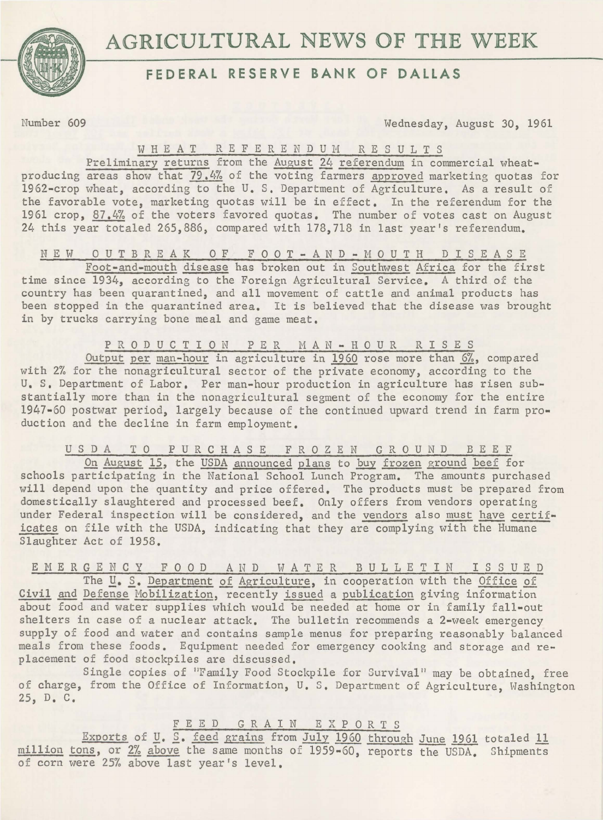



# **FEDERAL RESERVE BANK OF DALLAS**

Slaughter Act of 1958.

Number 609 Wednesday, August 30, 1961

### WHEAT R E F E R E N D U M R E S U L T S

Preliminary returns from the August 24 referendum in commercial wheatproducing areas show that 79.4% of the voting farmers approved marketing quotas for 1962-crop wheat, according to the U. s. Department of Agriculture. As a result of the favorable vote, marketing quotas will be in effect. In the referendum for the 1961 crop, 87.4% of the voters favored quotas. The number of votes cast on August 24 this year totaled 265,886, compared with 178,718 in last year's referendum.

N E W 0 U T B R E A K 0 F F 0 0 T - A N D - M 0 U T H D I S E A S E Foot-and-mouth disease has broken out in Southwest Africa for the first time since 1934, according to the Foreign Agricultural Service. A third of the country has been quarantined, and all movement of cattle and animal products has been stopped in the quarantined area. It is believed that the disease was brought in by trucks carrying bone meal and game meat.

P R 0 D U C T I 0 N P E R M A N - H 0 U R R I S E S Output per man-hour in agriculture in 1960 rose more than 6%, compared with 2% for the nonagricultural sector of the private economy, according to the U. s. Department of Labor. Per man-hour production in agriculture has risen substantially more than in the nonagricultural segment of the economy for the entire 1947-60 postwar period, largely because of the continued upward trend in farm production and the decline in farm employment.

USDA TO PURCHASE FROZEN GROUND BEEF On August 15, the USDA announced plans to buy frozen ground beef for schools participating in the National School Lunch Program. The amounts purchased will depend upon the quantity and price offered. The products must be prepared from domestically slaughtered and processed beef. Only offers from vendors operating under Federal inspection will be considered, and the vendors also must have certificates on file with the USDA, indicating that they are complying with the Humane

E M E R G E N C Y FOOD AND WATER BULLETIN ISSUED The *U. S. Department of Agriculture*, in cooperation with the Office of Civil and Defense Mobilization, recently issued a publication giving information about food and water supplies which would be needed at home or in family fall-out shelters in case of a nuclear attack. The bulletin recommends a 2-week emergency supply of food and water and contains sample menus for preparing reasonably balanced meals from these foods. Equipment needed for emergency cooking and storage and replacement of food stockpiles are discussed.

Single copies of "Family Food Stockpile for Survival" may be obtained, free of charge, from the Office of Information, U. S. Department of Agriculture. Washington 25, D. C.

## F E E D G R A I N E X P 0 R T S

Exports of *U*. S. feed grains from July 1960 through June 1961 totaled 11 million tons, or 2% above the same months of 1959-60, reports the USDA. Shipments of corn were 25% above last year's level.